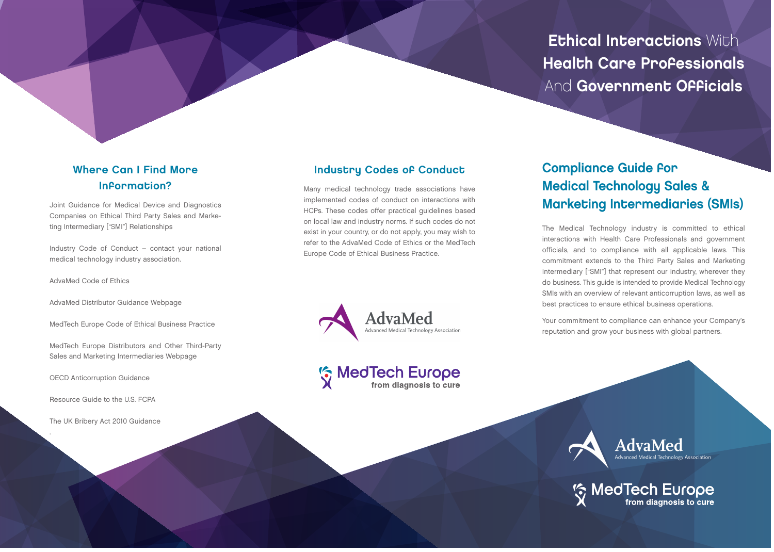## Ethical Interactions With Health Care Professionals And Government Officials

#### Where Can I Find More Information?

[Joint Guidance for Medical Device and Diagnostics](http://advamed.org/res.download/481) Companies on Ethical Third Party Sales and Marketing Intermediary ["SMI"] Relationships

Industry Code of Conduct – contact your national medical technology industry association.

[AdvaMed Code of Ethics](http://www.advamed.org/CodeOfEthics)

[AdvaMed Distributor Guidance Webpage](http://www.advamed.org/Distributor-Guidance)

[MedTech Europe Code of Ethical Business Practice](http://www.medtecheurope.org/industry-themes/topic/122)

[MedTech Europe Distributors and Other Third-Party](http://www.medtecheurope.org/industry-themes/topic/98) Sales and Marketing Intermediaries Webpage

[OECD Anticorruption Guidance](http://www.oecd.org/corruption/keyoecdanti- corruptiondocuments.htm)

[Resource Guide to the U.S. FCPA](http://www.justice.gov/criminal-fraud/fcpa-guidance)

[The UK Bribery Act 2010 Guidance](http://www.justice.gov.uk/downloads/legislation/bribery-act- 2010-guidance.pdf)

.

#### Industry Codes of Conduct

Many medical technology trade associations have implemented codes of conduct on interactions with HCPs. These codes offer practical guidelines based on local law and industry norms. If such codes do not exist in your country, or do not apply, you may wish to refer to the AdvaMed Code of Ethics or the MedTech Europe Code of Ethical Business Practice.



# **Solution MedTech Europe**

### Compliance Guide for Medical Technology Sales & Marketing Intermediaries (SMIs)

The Medical Technology industry is committed to ethical interactions with Health Care Professionals and government officials, and to compliance with all applicable laws. This commitment extends to the Third Party Sales and Marketing Intermediary ["SMI"] that represent our industry, wherever they do business. This guide is intended to provide Medical Technology SMIs with an overview of relevant anticorruption laws, as well as best practices to ensure ethical business operations.

Your commitment to compliance can enhance your Company's reputation and grow your business with global partners.



**Solution MedTech Europe**